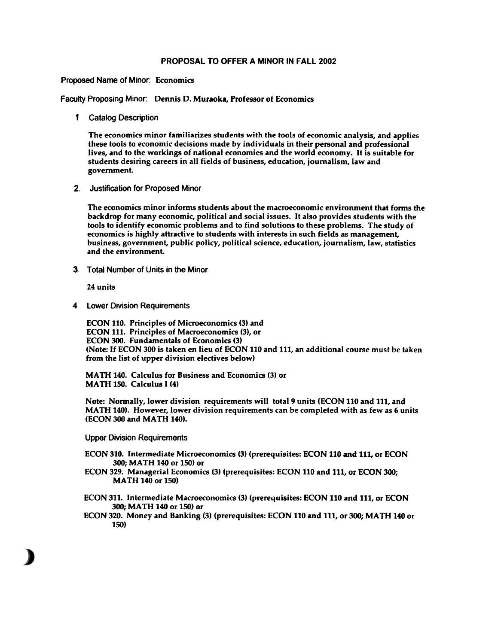## PROPOSAL TO OFFER A MINOR IN FALL 2002

## Proposed Name of Minor: Economics

Faculty Proposing Minor: Dennis D. Muraoka, Professor of Economics

1 Catalog Description

The economics minor familiarizes students with the tools of economic analysis, and applies these tools to economic decisions made by individuals in their personal and professional lives, and to the workings of national economies and the world economy. It is suitable for students desiring careers in all fields of business, education, journalism, law and government.

2. Justification for Proposed Minor

The economics minor informs students about the macroeconomic environment that forms the backdrop for many economic, political and social issues. It also provides students with the tools to identify economic problems and to find solutions to these problems. The study of economics is highly attractive to students with interests in such fields as management, business, government, public policy, political science, education, journalism, law, statistics and the environment.

3. Total Number of Units in the Minor

24 units

4 lower Division Requirements

ECON 110. Principles of Microeconomics (3) and ECON 111. Principles of Macroeconomics (3), or ECON 300. Fundamentals of Economics (3) (Note: If ECON 300 is taken en lieu of ECON 110 and Ill, an additional course must be taken from the list of upper division electives below)

MATH 140. Calculus for Business and Economics (3) or MATH 150. Calculus I (4)

Note: Normally, lower division requirements will total 9 units (ECON 110 and 111, and MATH 140). However, lower division requirements can be completed with as few as 6 units (ECON 300 and MATH 140).

Upper Division Requirements

- ECON 310. Intermediate Microeconomics (3) (prerequisites: ECON 110 and 111, or ECON 300; MATH 140 or 150) or
- ECON 329. Managerial Economics (3) (prerequisites: ECON 110 and Ill, or ECON 300; MATH 140 or 150)

ECON 311. Intermediate Macroeconomics (3) (prerequisites: ECON 110 and 111, or ECON 300; MATH 140 or 150) or

ECON 320. Money and Banking (3) (prerequisites: ECON 110 and 111, or 300; MATH 140 or 150)